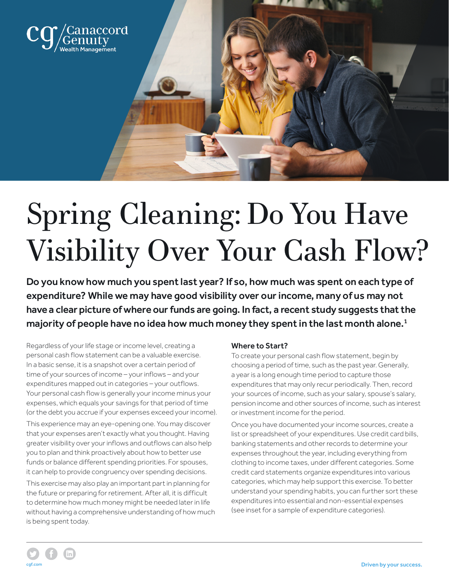

# Spring Cleaning: Do You Have Visibility Over Your Cash Flow?

Do you know how much you spent last year? If so, how much was spent on each type of expenditure? While we may have good visibility over our income, many of us may not have a clear picture of where our funds are going. In fact, a recent study suggests that the majority of people have no idea how much money they spent in the last month alone.<sup>1</sup>

Regardless of your life stage or income level, creating a personal cash flow statement can be a valuable exercise. In a basic sense, it is a snapshot over a certain period of time of your sources of income – your inflows – and your expenditures mapped out in categories – your outflows. Your personal cash flow is generally your income minus your expenses, which equals your savings for that period of time (or the debt you accrue if your expenses exceed your income).

This experience may an eye-opening one. You may discover that your expenses aren't exactly what you thought. Having greater visibility over your inflows and outflows can also help you to plan and think proactively about how to better use funds or balance different spending priorities. For spouses, it can help to provide congruency over spending decisions.

This exercise may also play an important part in planning for the future or preparing for retirement. After all, it is difficult to determine how much money might be needed later in life without having a comprehensive understanding of how much is being spent today.

## Where to Start?

To create your personal cash flow statement, begin by choosing a period of time, such as the past year. Generally, a year is a long enough time period to capture those expenditures that may only recur periodically. Then, record your sources of income, such as your salary, spouse's salary, pension income and other sources of income, such as interest or investment income for the period.

Once you have documented your income sources, create a list or spreadsheet of your expenditures. Use credit card bills, banking statements and other records to determine your expenses throughout the year, including everything from clothing to income taxes, under different categories. Some credit card statements organize expenditures into various categories, which may help support this exercise. To better understand your spending habits, you can further sort these expenditures into essential and non-essential expenses (see inset for a sample of expenditure categories).